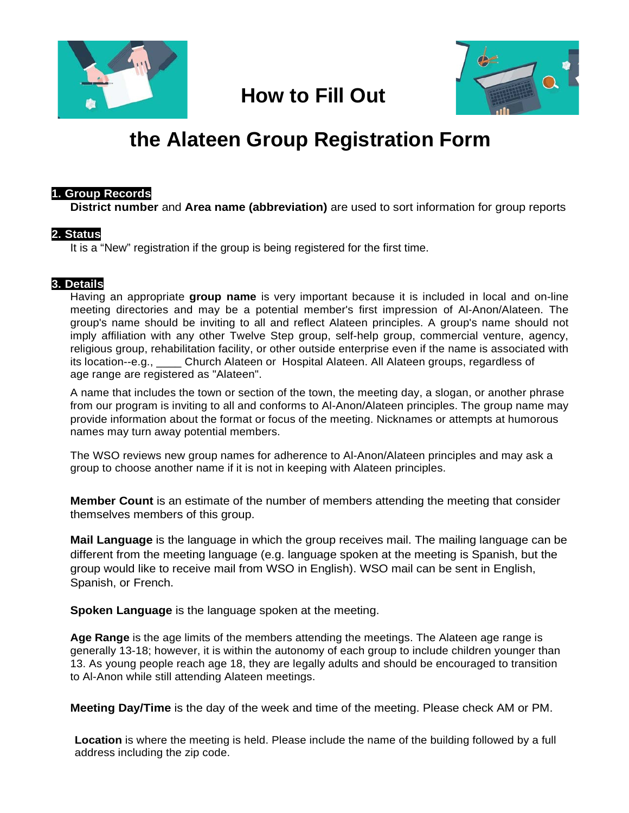

## **How to Fill Out**



# **the Alateen Group Registration Form**

#### **1. Group Records**

**District number** and **Area name (abbreviation)** are used to sort information for group reports

### **2. Status**

It is a "New" registration if the group is being registered for the first time.

### **3. Details**

Having an appropriate **group name** is very important because it is included in local and on-line meeting directories and may be a potential member's first impression of Al-Anon/Alateen. The group's name should be inviting to all and reflect Alateen principles. A group's name should not imply affiliation with any other Twelve Step group, self-help group, commercial venture, agency, religious group, rehabilitation facility, or other outside enterprise even if the name is associated with its location--e.g., \_\_\_\_ Church Alateen or Hospital Alateen. All Alateen groups, regardless of age range are registered as "Alateen".

A name that includes the town or section of the town, the meeting day, a slogan, or another phrase from our program is inviting to all and conforms to Al-Anon/Alateen principles. The group name may provide information about the format or focus of the meeting. Nicknames or attempts at humorous names may turn away potential members.

The WSO reviews new group names for adherence to Al-Anon/Alateen principles and may ask a group to choose another name if it is not in keeping with Alateen principles.

**Member Count** is an estimate of the number of members attending the meeting that consider themselves members of this group.

**Mail Language** is the language in which the group receives mail. The mailing language can be different from the meeting language (e.g. language spoken at the meeting is Spanish, but the group would like to receive mail from WSO in English). WSO mail can be sent in English, Spanish, or French.

**Spoken Language** is the language spoken at the meeting.

**Age Range** is the age limits of the members attending the meetings. The Alateen age range is generally 13-18; however, it is within the autonomy of each group to include children younger than 13. As young people reach age 18, they are legally adults and should be encouraged to transition to Al-Anon while still attending Alateen meetings.

**Meeting Day/Time** is the day of the week and time of the meeting. Please check AM or PM.

**Location** is where the meeting is held. Please include the name of the building followed by a full address including the zip code.